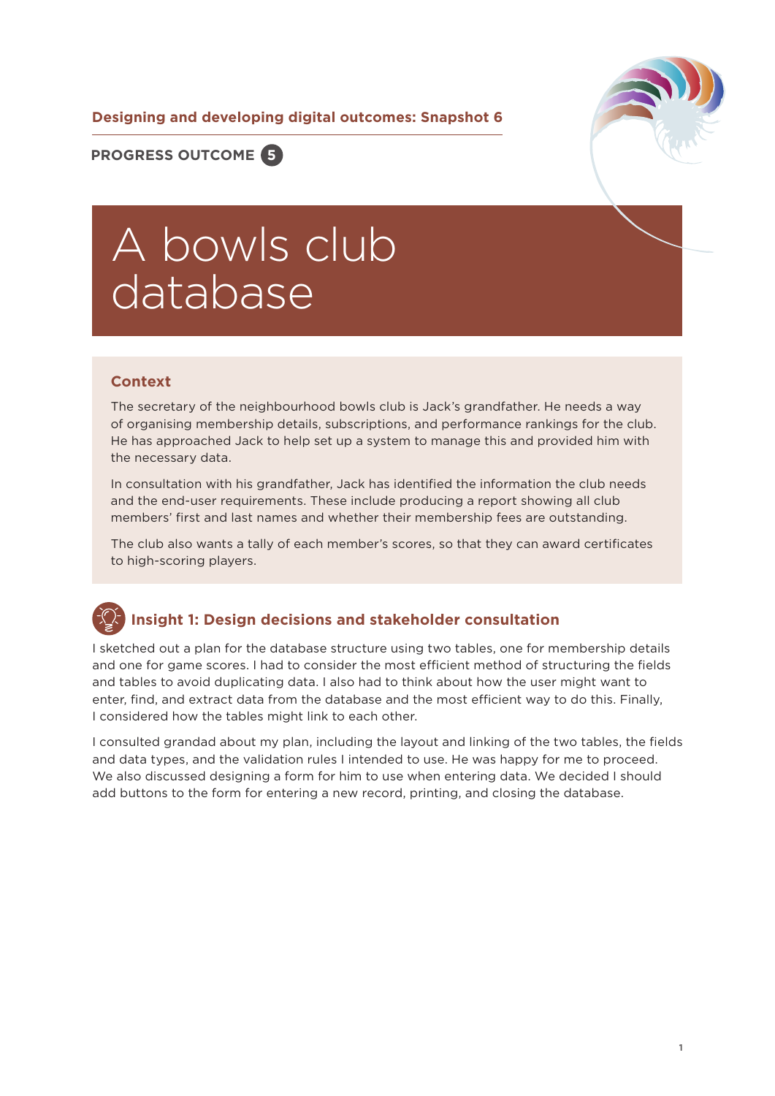**Designing and developing digital outcomes: Snapshot 6**



**PROGRESS OUTCOME 5**

# A bowls club database

#### **Context**

The secretary of the neighbourhood bowls club is Jack's grandfather. He needs a way of organising membership details, subscriptions, and performance rankings for the club. He has approached Jack to help set up a system to manage this and provided him with the necessary data.

In consultation with his grandfather, Jack has identified the information the club needs and the end-user requirements. These include producing a report showing all club members' first and last names and whether their membership fees are outstanding.

The club also wants a tally of each member's scores, so that they can award certificates to high-scoring players.

#### **Insight 1: Design decisions and stakeholder consultation**

I sketched out a plan for the database structure using two tables, one for membership details and one for game scores. I had to consider the most efficient method of structuring the fields and tables to avoid duplicating data. I also had to think about how the user might want to enter, find, and extract data from the database and the most efficient way to do this. Finally, I considered how the tables might link to each other.

I consulted grandad about my plan, including the layout and linking of the two tables, the fields and data types, and the validation rules I intended to use. He was happy for me to proceed. We also discussed designing a form for him to use when entering data. We decided I should add buttons to the form for entering a new record, printing, and closing the database.